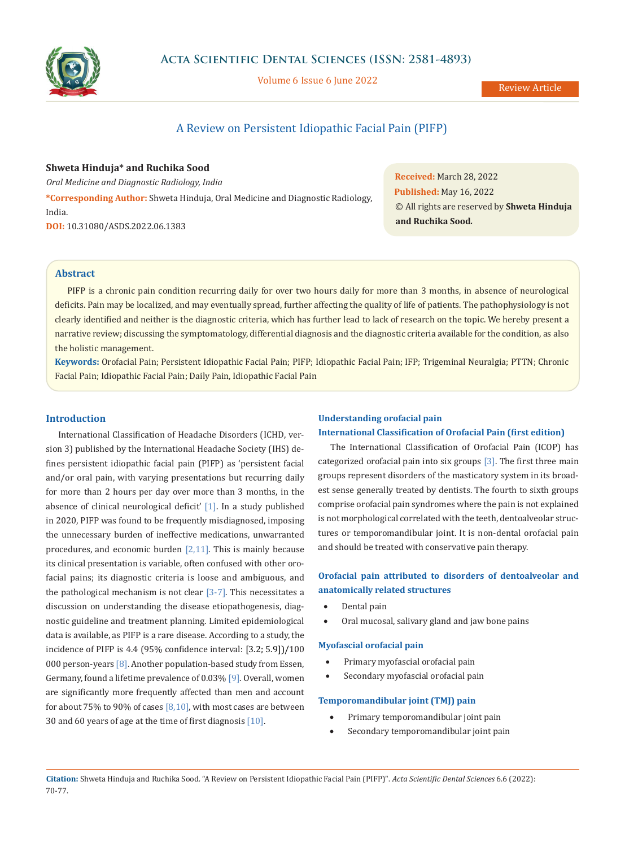

Volume 6 Issue 6 June 2022

# A Review on Persistent Idiopathic Facial Pain (PIFP)

**Shweta Hinduja\* and Ruchika Sood** *Oral Medicine and Diagnostic Radiology, India* **\*Corresponding Author:** Shweta Hinduja, Oral Medicine and Diagnostic Radiology, India. **DOI:** [10.31080/ASDS.2022.06.1383](https://actascientific.com/ASDS/pdf/ASDS-06-1383.pdf)

**Received:** March 28, 2022 **Published:** May 16, 2022 © All rights are reserved by **Shweta Hinduja and Ruchika Sood***.*

# **Abstract**

PIFP is a chronic pain condition recurring daily for over two hours daily for more than 3 months, in absence of neurological deficits. Pain may be localized, and may eventually spread, further affecting the quality of life of patients. The pathophysiology is not clearly identified and neither is the diagnostic criteria, which has further lead to lack of research on the topic. We hereby present a narrative review; discussing the symptomatology, differential diagnosis and the diagnostic criteria available for the condition, as also the holistic management.

**Keywords:** Orofacial Pain; Persistent Idiopathic Facial Pain; PIFP; Idiopathic Facial Pain; IFP; Trigeminal Neuralgia; PTTN; Chronic Facial Pain; Idiopathic Facial Pain; Daily Pain, Idiopathic Facial Pain

## **Introduction**

International Classification of Headache Disorders (ICHD, version 3) published by the International Headache Society (IHS) defines persistent idiopathic facial pain (PIFP) as 'persistent facial and/or oral pain, with varying presentations but recurring daily for more than 2 hours per day over more than 3 months, in the absence of clinical neurological deficit' [1]. In a study published in 2020, PIFP was found to be frequently misdiagnosed, imposing the unnecessary burden of ineffective medications, unwarranted procedures, and economic burden  $[2,11]$ . This is mainly because its clinical presentation is variable, often confused with other orofacial pains; its diagnostic criteria is loose and ambiguous, and the pathological mechanism is not clear  $[3-7]$ . This necessitates a discussion on understanding the disease etiopathogenesis, diagnostic guideline and treatment planning. Limited epidemiological data is available, as PIFP is a rare disease. According to a study, the incidence of PIFP is 4.4 (95% confidence interval: [3.2; 5.9])/100 000 person-years [8]. Another population-based study from Essen, Germany, found a lifetime prevalence of 0.03% [9]. Overall, women are significantly more frequently affected than men and account for about 75% to 90% of cases  $[8,10]$ , with most cases are between 30 and 60 years of age at the time of first diagnosis [10].

#### **Understanding orofacial pain**

### **International Classification of Orofacial Pain (first edition)**

The International Classification of Orofacial Pain (ICOP) has categorized orofacial pain into six groups  $[3]$ . The first three main groups represent disorders of the masticatory system in its broadest sense generally treated by dentists. The fourth to sixth groups comprise orofacial pain syndromes where the pain is not explained is not morphological correlated with the teeth, dentoalveolar structures or temporomandibular joint. It is non-dental orofacial pain and should be treated with conservative pain therapy.

# **Orofacial pain attributed to disorders of dentoalveolar and anatomically related structures**

- Dental pain
- Oral mucosal, salivary gland and jaw bone pains

#### **Myofascial orofacial pain**

- Primary myofascial orofacial pain
- Secondary myofascial orofacial pain

#### **Temporomandibular joint (TMJ) pain**

- Primary temporomandibular joint pain
- Secondary temporomandibular joint pain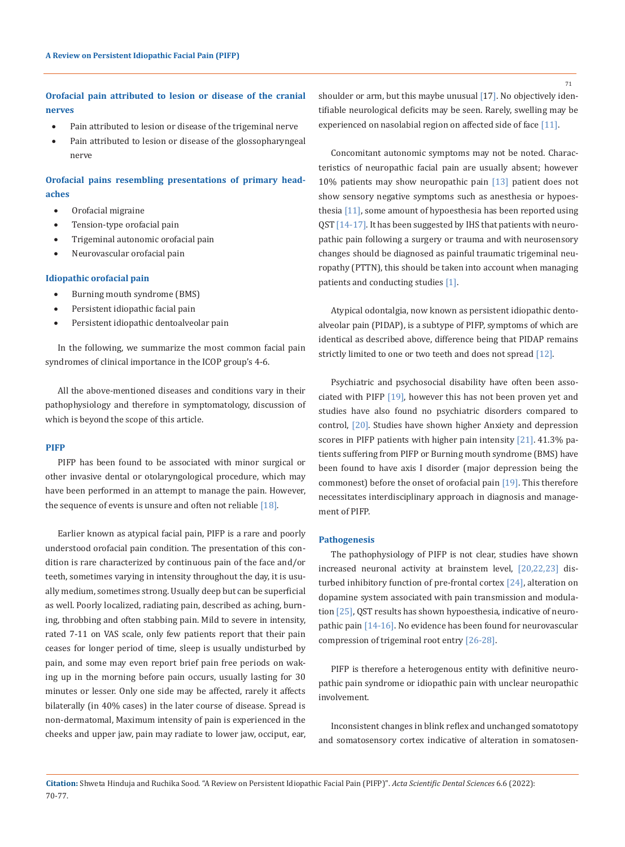**Orofacial pain attributed to lesion or disease of the cranial nerves**

- Pain attributed to lesion or disease of the trigeminal nerve
- Pain attributed to lesion or disease of the glossopharyngeal nerve

**Orofacial pains resembling presentations of primary headaches**

- • Orofacial migraine
- Tension-type orofacial pain
- Trigeminal autonomic orofacial pain
- Neurovascular orofacial pain

#### **Idiopathic orofacial pain**

- • Burning mouth syndrome (BMS)
- Persistent idiopathic facial pain
- Persistent idiopathic dentoalveolar pain

In the following, we summarize the most common facial pain syndromes of clinical importance in the ICOP group's 4-6.

All the above-mentioned diseases and conditions vary in their pathophysiology and therefore in symptomatology, discussion of which is beyond the scope of this article.

## **PIFP**

PIFP has been found to be associated with minor surgical or other invasive dental or otolaryngological procedure, which may have been performed in an attempt to manage the pain. However, the sequence of events is unsure and often not reliable [18].

Earlier known as atypical facial pain, PIFP is a rare and poorly understood orofacial pain condition. The presentation of this condition is rare characterized by continuous pain of the face and/or teeth, sometimes varying in intensity throughout the day, it is usually medium, sometimes strong. Usually deep but can be superficial as well. Poorly localized, radiating pain, described as aching, burning, throbbing and often stabbing pain. Mild to severe in intensity, rated 7-11 on VAS scale, only few patients report that their pain ceases for longer period of time, sleep is usually undisturbed by pain, and some may even report brief pain free periods on waking up in the morning before pain occurs, usually lasting for 30 minutes or lesser. Only one side may be affected, rarely it affects bilaterally (in 40% cases) in the later course of disease. Spread is non-dermatomal, Maximum intensity of pain is experienced in the cheeks and upper jaw, pain may radiate to lower jaw, occiput, ear, shoulder or arm, but this maybe unusual [17]. No objectively identifiable neurological deficits may be seen. Rarely, swelling may be experienced on nasolabial region on affected side of face [11].

Concomitant autonomic symptoms may not be noted. Characteristics of neuropathic facial pain are usually absent; however 10% patients may show neuropathic pain [13] patient does not show sensory negative symptoms such as anesthesia or hypoesthesia [11], some amount of hypoesthesia has been reported using QST [14-17]. It has been suggested by IHS that patients with neuropathic pain following a surgery or trauma and with neurosensory changes should be diagnosed as painful traumatic trigeminal neuropathy (PTTN), this should be taken into account when managing patients and conducting studies [1].

Atypical odontalgia, now known as persistent idiopathic dentoalveolar pain (PIDAP), is a subtype of PIFP, symptoms of which are identical as described above, difference being that PIDAP remains strictly limited to one or two teeth and does not spread [12].

Psychiatric and psychosocial disability have often been associated with PIFP [19], however this has not been proven yet and studies have also found no psychiatric disorders compared to control, [20]. Studies have shown higher Anxiety and depression scores in PIFP patients with higher pain intensity [21]. 41.3% patients suffering from PIFP or Burning mouth syndrome (BMS) have been found to have axis I disorder (major depression being the commonest) before the onset of orofacial pain [19]. This therefore necessitates interdisciplinary approach in diagnosis and management of PIFP.

## **Pathogenesis**

The pathophysiology of PIFP is not clear, studies have shown increased neuronal activity at brainstem level, [20,22,23] disturbed inhibitory function of pre-frontal cortex [24], alteration on dopamine system associated with pain transmission and modulation [25], QST results has shown hypoesthesia, indicative of neuropathic pain [14-16]. No evidence has been found for neurovascular compression of trigeminal root entry [26-28].

PIFP is therefore a heterogenous entity with definitive neuropathic pain syndrome or idiopathic pain with unclear neuropathic involvement.

Inconsistent changes in blink reflex and unchanged somatotopy and somatosensory cortex indicative of alteration in somatosen-

71

**Citation:** Shweta Hinduja and Ruchika Sood*.* "A Review on Persistent Idiopathic Facial Pain (PIFP)". *Acta Scientific Dental Sciences* 6.6 (2022): 70-77.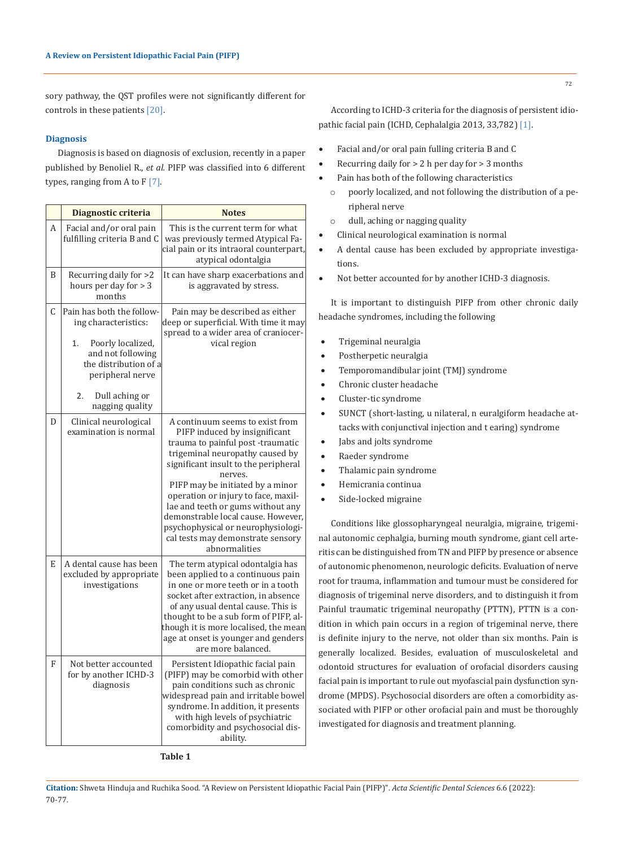sory pathway, the QST profiles were not significantly different for controls in these patients [20].

## **Diagnosis**

Diagnosis is based on diagnosis of exclusion, recently in a paper published by Benoliel R., *et al.* PIFP was classified into 6 different types, ranging from A to  $F[7]$ .

|   | Diagnostic criteria                                                                                                                                                    | <b>Notes</b>                                                                                                                                                                                                                                                                                                                            |
|---|------------------------------------------------------------------------------------------------------------------------------------------------------------------------|-----------------------------------------------------------------------------------------------------------------------------------------------------------------------------------------------------------------------------------------------------------------------------------------------------------------------------------------|
| А | Facial and/or oral pain<br>fulfilling criteria B and C                                                                                                                 | This is the current term for what<br>was previously termed Atypical Fa-<br>cial pain or its intraoral counterpart,<br>atypical odontalgia                                                                                                                                                                                               |
| B | Recurring daily for >2<br>hours per day for $>$ 3<br>months                                                                                                            | It can have sharp exacerbations and<br>is aggravated by stress.                                                                                                                                                                                                                                                                         |
| C | Pain has both the follow-<br>ing characteristics:<br>Poorly localized,<br>1.<br>and not following<br>the distribution of a<br>peripheral nerve<br>Dull aching or<br>2. | Pain may be described as either<br>deep or superficial. With time it may<br>spread to a wider area of craniocer-<br>vical region                                                                                                                                                                                                        |
| D | nagging quality<br>Clinical neurological<br>examination is normal                                                                                                      | A continuum seems to exist from<br>PIFP induced by insignificant<br>trauma to painful post-traumatic<br>trigeminal neuropathy caused by<br>significant insult to the peripheral<br>nerves.                                                                                                                                              |
|   |                                                                                                                                                                        | PIFP may be initiated by a minor<br>operation or injury to face, maxil-<br>lae and teeth or gums without any<br>demonstrable local cause. However,<br>psychophysical or neurophysiologi-<br>cal tests may demonstrate sensory<br>abnormalities                                                                                          |
| E | A dental cause has been<br>excluded by appropriate<br>investigations                                                                                                   | The term atypical odontalgia has<br>been applied to a continuous pain<br>in one or more teeth or in a tooth<br>socket after extraction, in absence<br>of any usual dental cause. This is<br>thought to be a sub form of PIFP, al-<br>though it is more localised, the mean<br>age at onset is younger and genders<br>are more balanced. |
| F | Not better accounted<br>for by another ICHD-3<br>diagnosis                                                                                                             | Persistent Idiopathic facial pain<br>(PIFP) may be comorbid with other<br>pain conditions such as chronic<br>widespread pain and irritable bowel<br>syndrome. In addition, it presents<br>with high levels of psychiatric<br>comorbidity and psychosocial dis-<br>ability.                                                              |

According to ICHD-3 criteria for the diagnosis of persistent idiopathic facial pain (ICHD, Cephalalgia 2013, 33,782) [1].

- Facial and/or oral pain fulling criteria B and C
- Recurring daily for  $> 2$  h per day for  $> 3$  months
- Pain has both of the following characteristics
- o poorly localized, and not following the distribution of a peripheral nerve
- o dull, aching or nagging quality
- Clinical neurological examination is normal
- A dental cause has been excluded by appropriate investigations.
- Not better accounted for by another ICHD-3 diagnosis.

It is important to distinguish PIFP from other chronic daily headache syndromes, including the following

- Trigeminal neuralgia
- Postherpetic neuralgia
- Temporomandibular joint (TMJ) syndrome
- Chronic cluster headache
- Cluster-tic syndrome
- SUNCT (short-lasting, u nilateral, n euralgiform headache attacks with conjunctival injection and t earing) syndrome
- Jabs and jolts syndrome
- Raeder syndrome
- Thalamic pain syndrome
- Hemicrania continua
- Side-locked migraine

Conditions like glossopharyngeal neuralgia, migraine, trigeminal autonomic cephalgia, burning mouth syndrome, giant cell arteritis can be distinguished from TN and PIFP by presence or absence of autonomic phenomenon, neurologic deficits. Evaluation of nerve root for trauma, inflammation and tumour must be considered for diagnosis of trigeminal nerve disorders, and to distinguish it from Painful traumatic trigeminal neuropathy (PTTN), PTTN is a condition in which pain occurs in a region of trigeminal nerve, there is definite injury to the nerve, not older than six months. Pain is generally localized. Besides, evaluation of musculoskeletal and odontoid structures for evaluation of orofacial disorders causing facial pain is important to rule out myofascial pain dysfunction syndrome (MPDS). Psychosocial disorders are often a comorbidity associated with PIFP or other orofacial pain and must be thoroughly investigated for diagnosis and treatment planning.

# **Table 1**

**Citation:** Shweta Hinduja and Ruchika Sood*.* "A Review on Persistent Idiopathic Facial Pain (PIFP)". *Acta Scientific Dental Sciences* 6.6 (2022): 70-77.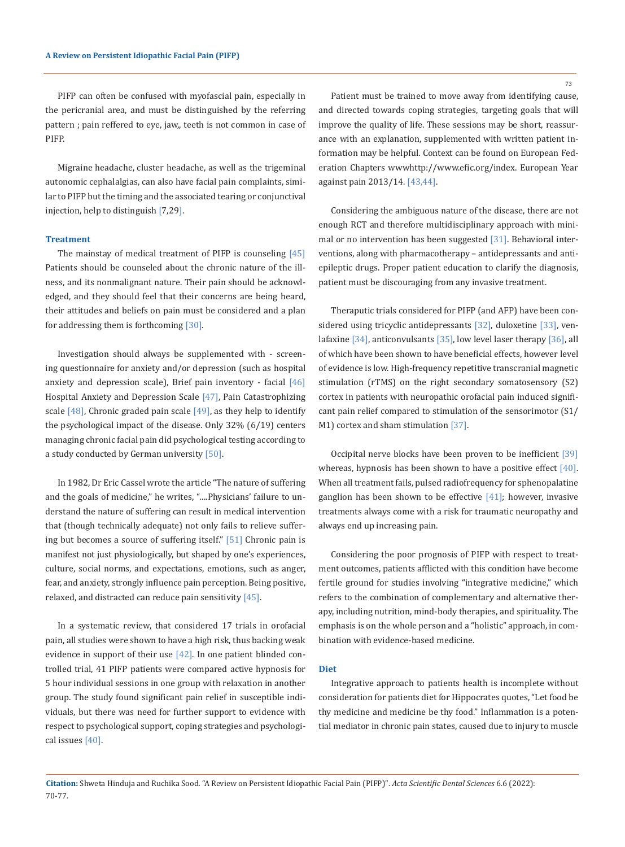PIFP can often be confused with myofascial pain, especially in the pericranial area, and must be distinguished by the referring pattern ; pain reffered to eye, jaw,, teeth is not common in case of PIFP.

Migraine headache, cluster headache, as well as the trigeminal autonomic cephalalgias, can also have facial pain complaints, similar to PIFP but the timing and the associated tearing or conjunctival injection, help to distinguish [7,29].

#### **Treatment**

The mainstay of medical treatment of PIFP is counseling  $[45]$ Patients should be counseled about the chronic nature of the illness, and its nonmalignant nature. Their pain should be acknowledged, and they should feel that their concerns are being heard, their attitudes and beliefs on pain must be considered and a plan for addressing them is forthcoming [30].

Investigation should always be supplemented with - screening questionnaire for anxiety and/or depression (such as hospital anxiety and depression scale), Brief pain inventory - facial  $[46]$ Hospital Anxiety and Depression Scale [47], Pain Catastrophizing scale  $[48]$ , Chronic graded pain scale  $[49]$ , as they help to identify the psychological impact of the disease. Only 32% (6/19) centers managing chronic facial pain did psychological testing according to a study conducted by German university [50].

In 1982, Dr Eric Cassel wrote the article "The nature of suffering and the goals of medicine," he writes, "….Physicians' failure to understand the nature of suffering can result in medical intervention that (though technically adequate) not only fails to relieve suffering but becomes a source of suffering itself." [51] Chronic pain is manifest not just physiologically, but shaped by one's experiences, culture, social norms, and expectations, emotions, such as anger, fear, and anxiety, strongly influence pain perception. Being positive, relaxed, and distracted can reduce pain sensitivity [45].

In a systematic review, that considered 17 trials in orofacial pain, all studies were shown to have a high risk, thus backing weak evidence in support of their use  $[42]$ . In one patient blinded controlled trial, 41 PIFP patients were compared active hypnosis for 5 hour individual sessions in one group with relaxation in another group. The study found significant pain relief in susceptible individuals, but there was need for further support to evidence with respect to psychological support, coping strategies and psychological issues [40].

Patient must be trained to move away from identifying cause, and directed towards coping strategies, targeting goals that will improve the quality of life. These sessions may be short, reassurance with an explanation, supplemented with written patient information may be helpful. Context can be found on European Federation Chapters wwwhttp://www.efic.org/index. European Year against pain 2013/14. [43,44].

Considering the ambiguous nature of the disease, there are not enough RCT and therefore multidisciplinary approach with minimal or no intervention has been suggested [31]. Behavioral interventions, along with pharmacotherapy – antidepressants and antiepileptic drugs. Proper patient education to clarify the diagnosis, patient must be discouraging from any invasive treatment.

Theraputic trials considered for PIFP (and AFP) have been considered using tricyclic antidepressants [32], duloxetine [33], venlafaxine [34], anticonvulsants [35], low level laser therapy [36], all of which have been shown to have beneficial effects, however level of evidence is low. High-frequency repetitive transcranial magnetic stimulation (rTMS) on the right secondary somatosensory (S2) cortex in patients with neuropathic orofacial pain induced significant pain relief compared to stimulation of the sensorimotor (S1/ M1) cortex and sham stimulation [37].

Occipital nerve blocks have been proven to be inefficient [39] whereas, hypnosis has been shown to have a positive effect  $[40]$ . When all treatment fails, pulsed radiofrequency for sphenopalatine ganglion has been shown to be effective  $[41]$ ; however, invasive treatments always come with a risk for traumatic neuropathy and always end up increasing pain.

Considering the poor prognosis of PIFP with respect to treatment outcomes, patients afflicted with this condition have become fertile ground for studies involving "integrative medicine," which refers to the combination of complementary and alternative therapy, including nutrition, mind-body therapies, and spirituality. The emphasis is on the whole person and a "holistic" approach, in combination with evidence-based medicine.

# **Diet**

Integrative approach to patients health is incomplete without consideration for patients diet for Hippocrates quotes, "Let food be thy medicine and medicine be thy food." Inflammation is a potential mediator in chronic pain states, caused due to injury to muscle

**Citation:** Shweta Hinduja and Ruchika Sood*.* "A Review on Persistent Idiopathic Facial Pain (PIFP)". *Acta Scientific Dental Sciences* 6.6 (2022): 70-77.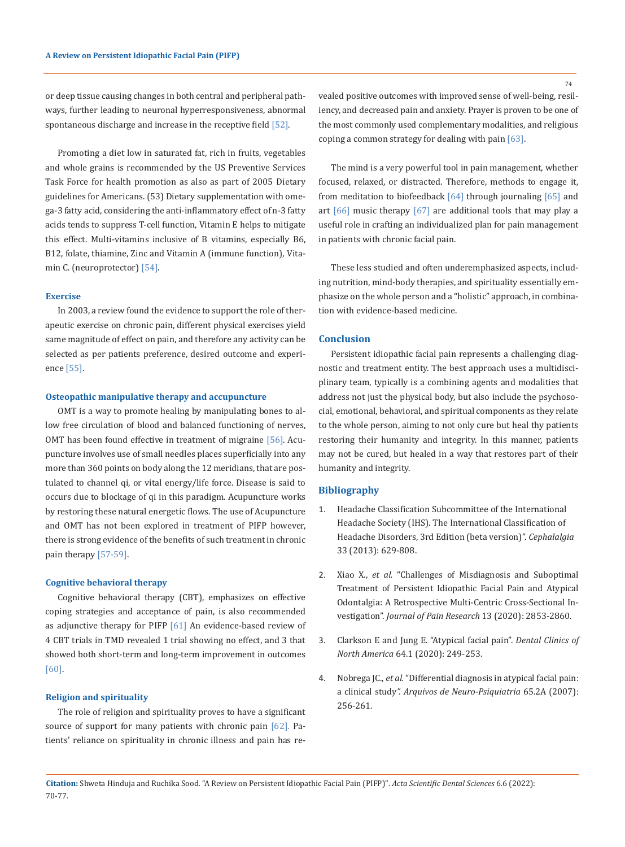or deep tissue causing changes in both central and peripheral pathways, further leading to neuronal hyperresponsiveness, abnormal spontaneous discharge and increase in the receptive field  $[52]$ .

Promoting a diet low in saturated fat, rich in fruits, vegetables and whole grains is recommended by the US Preventive Services Task Force for health promotion as also as part of 2005 Dietary guidelines for Americans. (53) Dietary supplementation with omega-3 fatty acid, considering the anti-inflammatory effect of n-3 fatty acids tends to suppress T-cell function, Vitamin E helps to mitigate this effect. Multi-vitamins inclusive of B vitamins, especially B6, B12, folate, thiamine, Zinc and Vitamin A (immune function), Vitamin C. (neuroprotector) [54].

## **Exercise**

In 2003, a review found the evidence to support the role of therapeutic exercise on chronic pain, different physical exercises yield same magnitude of effect on pain, and therefore any activity can be selected as per patients preference, desired outcome and experience [55].

#### **Osteopathic manipulative therapy and accupuncture**

OMT is a way to promote healing by manipulating bones to allow free circulation of blood and balanced functioning of nerves, OMT has been found effective in treatment of migraine [56]. Acupuncture involves use of small needles places superficially into any more than 360 points on body along the 12 meridians, that are postulated to channel qi, or vital energy/life force. Disease is said to occurs due to blockage of qi in this paradigm. Acupuncture works by restoring these natural energetic flows. The use of Acupuncture and OMT has not been explored in treatment of PIFP however, there is strong evidence of the benefits of such treatment in chronic pain therapy [57-59].

#### **Cognitive behavioral therapy**

Cognitive behavioral therapy (CBT), emphasizes on effective coping strategies and acceptance of pain, is also recommended as adjunctive therapy for PIFP  $[61]$  An evidence-based review of 4 CBT trials in TMD revealed 1 trial showing no effect, and 3 that showed both short-term and long-term improvement in outcomes [60].

## **Religion and spirituality**

The role of religion and spirituality proves to have a significant source of support for many patients with chronic pain [62]. Patients' reliance on spirituality in chronic illness and pain has revealed positive outcomes with improved sense of well-being, resiliency, and decreased pain and anxiety. Prayer is proven to be one of the most commonly used complementary modalities, and religious coping a common strategy for dealing with pain [63].

The mind is a very powerful tool in pain management, whether focused, relaxed, or distracted. Therefore, methods to engage it, from meditation to biofeedback  $[64]$  through journaling  $[65]$  and art  $[66]$  music therapy  $[67]$  are additional tools that may play a useful role in crafting an individualized plan for pain management in patients with chronic facial pain.

These less studied and often underemphasized aspects, including nutrition, mind-body therapies, and spirituality essentially emphasize on the whole person and a "holistic" approach, in combination with evidence-based medicine.

# **Conclusion**

Persistent idiopathic facial pain represents a challenging diagnostic and treatment entity. The best approach uses a multidisciplinary team, typically is a combining agents and modalities that address not just the physical body, but also include the psychosocial, emotional, behavioral, and spiritual components as they relate to the whole person, aiming to not only cure but heal thy patients restoring their humanity and integrity. In this manner, patients may not be cured, but healed in a way that restores part of their humanity and integrity.

# **Bibliography**

- 1. [Headache Classification Subcommittee of the International](https://pubmed.ncbi.nlm.nih.gov/29368949/)  [Headache Society \(IHS\). The International Classification of](https://pubmed.ncbi.nlm.nih.gov/29368949/)  [Headache Disorders, 3rd Edition \(beta version\)".](https://pubmed.ncbi.nlm.nih.gov/29368949/) *Cephalalgia* [33 \(2013\): 629-808.](https://pubmed.ncbi.nlm.nih.gov/29368949/)
- 2. Xiao X., *et al.* ["Challenges of Misdiagnosis and Suboptimal](https://www.scienceopen.com/document_file/47824925-3da6-4d49-acdc-0c9fdef11dc2/PubMedCentral/47824925-3da6-4d49-acdc-0c9fdef11dc2.pdf)  [Treatment of Persistent Idiopathic Facial Pain and Atypical](https://www.scienceopen.com/document_file/47824925-3da6-4d49-acdc-0c9fdef11dc2/PubMedCentral/47824925-3da6-4d49-acdc-0c9fdef11dc2.pdf)  [Odontalgia: A Retrospective Multi-Centric Cross-Sectional In](https://www.scienceopen.com/document_file/47824925-3da6-4d49-acdc-0c9fdef11dc2/PubMedCentral/47824925-3da6-4d49-acdc-0c9fdef11dc2.pdf)vestigation". *[Journal of Pain Research](https://www.scienceopen.com/document_file/47824925-3da6-4d49-acdc-0c9fdef11dc2/PubMedCentral/47824925-3da6-4d49-acdc-0c9fdef11dc2.pdf)* 13 (2020): 2853-2860.
- 3. [Clarkson E and Jung E. "Atypical facial pain".](https://my.clevelandclinic.org/health/diseases/21822-atypical-face-pain) *Dental Clinics of North America* [64.1 \(2020\): 249-253.](https://my.clevelandclinic.org/health/diseases/21822-atypical-face-pain)
- 4. Nobrega JC., *et al.* ["Differential diagnosis in atypical facial pain:](https://pubmed.ncbi.nlm.nih.gov/17607424/) a clinical study*[". Arquivos de Neuro-Psiquiatria](https://pubmed.ncbi.nlm.nih.gov/17607424/)* 65.2A (2007): [256-261.](https://pubmed.ncbi.nlm.nih.gov/17607424/)

**Citation:** Shweta Hinduja and Ruchika Sood*.* "A Review on Persistent Idiopathic Facial Pain (PIFP)". *Acta Scientific Dental Sciences* 6.6 (2022): 70-77.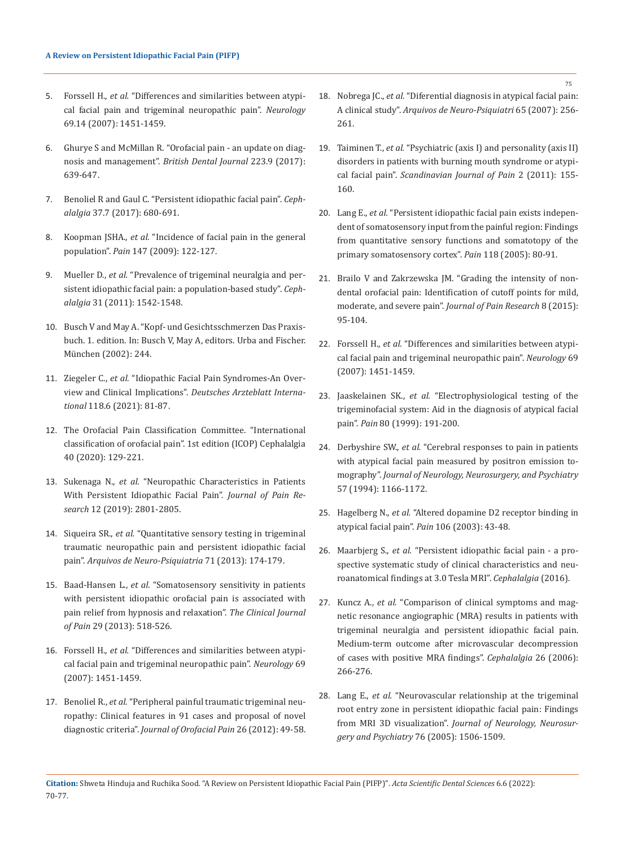- 5. Forssell H., *et al.* ["Differences and similarities between atypi](https://pubmed.ncbi.nlm.nih.gov/17909158/)[cal facial pain and trigeminal neuropathic pain".](https://pubmed.ncbi.nlm.nih.gov/17909158/) *Neurology* [69.14 \(2007\): 1451-1459.](https://pubmed.ncbi.nlm.nih.gov/17909158/)
- 6. [Ghurye S and McMillan R. "Orofacial pain an update on diag](https://pubmed.ncbi.nlm.nih.gov/29074941/)nosis and management". *[British Dental Journal](https://pubmed.ncbi.nlm.nih.gov/29074941/)* 223.9 (2017): [639-647.](https://pubmed.ncbi.nlm.nih.gov/29074941/)
- 7. [Benoliel R and Gaul C. "Persistent idiopathic facial pain".](https://emedicine.medscape.com/article/1142187-overview) *Cephalalgia* [37.7 \(2017\): 680-691.](https://emedicine.medscape.com/article/1142187-overview)
- 8. Koopman JSHA., *et al.* ["Incidence of facial pain in the general](https://pubmed.ncbi.nlm.nih.gov/19783099/)  population". *Pain* [147 \(2009\): 122-127.](https://pubmed.ncbi.nlm.nih.gov/19783099/)
- 9. Mueller D., *et al.* ["Prevalence of trigeminal neuralgia and per](https://pubmed.ncbi.nlm.nih.gov/21960648/)[sistent idiopathic facial pain: a population-based study".](https://pubmed.ncbi.nlm.nih.gov/21960648/) *Cephalalgia* [31 \(2011\): 1542-1548.](https://pubmed.ncbi.nlm.nih.gov/21960648/)
- 10. Busch V and May A. "Kopf- und Gesichtsschmerzen Das Praxisbuch. 1. edition. In: Busch V, May A, editors. Urba and Fischer. München (2002): 244.
- 11. Ziegeler C., *et al.* ["Idiopathic Facial Pain Syndromes-An Over](https://pubmed.ncbi.nlm.nih.gov/33827748/)view and Clinical Implications". *[Deutsches Arzteblatt Interna](https://pubmed.ncbi.nlm.nih.gov/33827748/)tional* [118.6 \(2021\): 81-87.](https://pubmed.ncbi.nlm.nih.gov/33827748/)
- 12. [The Orofacial Pain Classification Committee. "International](https://journals.sagepub.com/doi/10.1177/0333102419893823)  [classification of orofacial pain". 1st edition \(ICOP\) Cephalalgia](https://journals.sagepub.com/doi/10.1177/0333102419893823)  [40 \(2020\): 129-221.](https://journals.sagepub.com/doi/10.1177/0333102419893823)
- 13. Sukenaga N., *et al.* ["Neuropathic Characteristics in Patients](https://pubmed.ncbi.nlm.nih.gov/31632129/)  [With Persistent Idiopathic Facial Pain".](https://pubmed.ncbi.nlm.nih.gov/31632129/) *Journal of Pain Research* [12 \(2019\): 2801-2805.](https://pubmed.ncbi.nlm.nih.gov/31632129/)
- 14. Siqueira SR., *et al.* ["Quantitative sensory testing in trigeminal](https://pubmed.ncbi.nlm.nih.gov/23563718/)  [traumatic neuropathic pain and persistent idiopathic facial](https://pubmed.ncbi.nlm.nih.gov/23563718/)  pain". *[Arquivos de Neuro-Psiquiatria](https://pubmed.ncbi.nlm.nih.gov/23563718/)* 71 (2013): 174-179.
- 15. Baad-Hansen L., *et al.* ["Somatosensory sensitivity in patients](https://pubmed.ncbi.nlm.nih.gov/23328326/)  [with persistent idiopathic orofacial pain is associated with](https://pubmed.ncbi.nlm.nih.gov/23328326/)  [pain relief from hypnosis and relaxation".](https://pubmed.ncbi.nlm.nih.gov/23328326/) *The Clinical Journal of Pain* [29 \(2013\): 518-526.](https://pubmed.ncbi.nlm.nih.gov/23328326/)
- 16. Forssell H., *et al.* ["Differences and similarities between atypi](https://pubmed.ncbi.nlm.nih.gov/17909158/)[cal facial pain and trigeminal neuropathic pain".](https://pubmed.ncbi.nlm.nih.gov/17909158/) *Neurology* 69 [\(2007\): 1451-1459.](https://pubmed.ncbi.nlm.nih.gov/17909158/)
- 17. Benoliel R., *et al.* ["Peripheral painful traumatic trigeminal neu](https://pubmed.ncbi.nlm.nih.gov/22292140/)[ropathy: Clinical features in 91 cases and proposal of novel](https://pubmed.ncbi.nlm.nih.gov/22292140/)  diagnostic criteria". *[Journal of Orofacial Pain](https://pubmed.ncbi.nlm.nih.gov/22292140/)* 26 (2012): 49-58.
- 18. Nobrega JC., *et al.* ["Diferential diagnosis in atypical facial pain:](https://pubmed.ncbi.nlm.nih.gov/17607424/)  A clinical study". *[Arquivos de Neuro-Psiquiatri](https://pubmed.ncbi.nlm.nih.gov/17607424/)* 65 (2007): 256- [261.](https://pubmed.ncbi.nlm.nih.gov/17607424/)
- 19. Taiminen T., *et al.* ["Psychiatric \(axis I\) and personality \(axis II\)](https://pubmed.ncbi.nlm.nih.gov/29913754/)  [disorders in patients with burning mouth syndrome or atypi](https://pubmed.ncbi.nlm.nih.gov/29913754/)cal facial pain". *[Scandinavian Journal of Pain](https://pubmed.ncbi.nlm.nih.gov/29913754/)* 2 (2011): 155- [160.](https://pubmed.ncbi.nlm.nih.gov/29913754/)
- 20. Lang E., *et al.* ["Persistent idiopathic facial pain exists indepen](https://pubmed.ncbi.nlm.nih.gov/16202526/)[dent of somatosensory input from the painful region: Findings](https://pubmed.ncbi.nlm.nih.gov/16202526/)  [from quantitative sensory functions and somatotopy of the](https://pubmed.ncbi.nlm.nih.gov/16202526/)  [primary somatosensory cortex".](https://pubmed.ncbi.nlm.nih.gov/16202526/) *Pain* 118 (2005): 80-91.
- 21. [Brailo V and Zakrzewska JM. "Grading the intensity of non](https://www.dovepress.com/grading-the-intensity-of-nondental-orofacial-pain-identification-of-cu-peer-reviewed-fulltext-article-JPR)[dental orofacial pain: Identification of cutoff points for mild,](https://www.dovepress.com/grading-the-intensity-of-nondental-orofacial-pain-identification-of-cu-peer-reviewed-fulltext-article-JPR)  moderate, and severe pain". *[Journal of Pain Research](https://www.dovepress.com/grading-the-intensity-of-nondental-orofacial-pain-identification-of-cu-peer-reviewed-fulltext-article-JPR)* 8 (2015): [95-104.](https://www.dovepress.com/grading-the-intensity-of-nondental-orofacial-pain-identification-of-cu-peer-reviewed-fulltext-article-JPR)
- 22. Forssell H., *et al.* ["Differences and similarities between atypi](https://pubmed.ncbi.nlm.nih.gov/17909158/)[cal facial pain and trigeminal neuropathic pain".](https://pubmed.ncbi.nlm.nih.gov/17909158/) *Neurology* 69 [\(2007\): 1451-1459.](https://pubmed.ncbi.nlm.nih.gov/17909158/)
- 23. Jaaskelainen SK., *et al.* ["Electrophysiological testing of the](https://www.semanticscholar.org/paper/Electrophysiological-testing-of-the-trigeminofacial-J%C3%A4%C3%A4skel%C3%A4inen-Forssell/3dde1643379eb542c4278aa6a825a31014f46d2f)  [trigeminofacial system: Aid in the diagnosis of atypical facial](https://www.semanticscholar.org/paper/Electrophysiological-testing-of-the-trigeminofacial-J%C3%A4%C3%A4skel%C3%A4inen-Forssell/3dde1643379eb542c4278aa6a825a31014f46d2f)  pain". *Pain* [80 \(1999\): 191-200.](https://www.semanticscholar.org/paper/Electrophysiological-testing-of-the-trigeminofacial-J%C3%A4%C3%A4skel%C3%A4inen-Forssell/3dde1643379eb542c4278aa6a825a31014f46d2f)
- 24. Derbyshire SW., *et al.* ["Cerebral responses to pain in patients](https://pubmed.ncbi.nlm.nih.gov/7931375/)  [with atypical facial pain measured by positron emission to](https://pubmed.ncbi.nlm.nih.gov/7931375/)mography". *[Journal of Neurology, Neurosurgery, and Psychiatry](https://pubmed.ncbi.nlm.nih.gov/7931375/)*  [57 \(1994\): 1166-1172.](https://pubmed.ncbi.nlm.nih.gov/7931375/)
- 25. Hagelberg N., *et al.* ["Altered dopamine D2 receptor binding in](https://pubmed.ncbi.nlm.nih.gov/14581109/)  [atypical facial pain".](https://pubmed.ncbi.nlm.nih.gov/14581109/) *Pain* 106 (2003): 43-48.
- 26. Maarbjerg S., *et al.* ["Persistent idiopathic facial pain a pro](https://pubmed.ncbi.nlm.nih.gov/27789649/)[spective systematic study of clinical characteristics and neu](https://pubmed.ncbi.nlm.nih.gov/27789649/)[roanatomical findings at 3.0 Tesla MRI".](https://pubmed.ncbi.nlm.nih.gov/27789649/) *Cephalalgia* (2016).
- 27. Kuncz A., *et al.* ["Comparison of clinical symptoms and mag](https://pubmed.ncbi.nlm.nih.gov/16472332/)[netic resonance angiographic \(MRA\) results in patients with](https://pubmed.ncbi.nlm.nih.gov/16472332/)  [trigeminal neuralgia and persistent idiopathic facial pain.](https://pubmed.ncbi.nlm.nih.gov/16472332/)  [Medium-term outcome after microvascular decompression](https://pubmed.ncbi.nlm.nih.gov/16472332/)  [of cases with positive MRA findings".](https://pubmed.ncbi.nlm.nih.gov/16472332/) *Cephalalgia* 26 (2006): [266-276.](https://pubmed.ncbi.nlm.nih.gov/16472332/)
- 28. Lang E., *et al.* ["Neurovascular relationship at the trigeminal](https://jnnp.bmj.com/content/76/11/1506)  [root entry zone in persistent idiopathic facial pain: Findings](https://jnnp.bmj.com/content/76/11/1506)  from MRI 3D visualization". *[Journal of Neurology, Neurosur](https://jnnp.bmj.com/content/76/11/1506)[gery and Psychiatry](https://jnnp.bmj.com/content/76/11/1506)* 76 (2005): 1506-1509.

75

**Citation:** Shweta Hinduja and Ruchika Sood*.* "A Review on Persistent Idiopathic Facial Pain (PIFP)". *Acta Scientific Dental Sciences* 6.6 (2022): 70-77.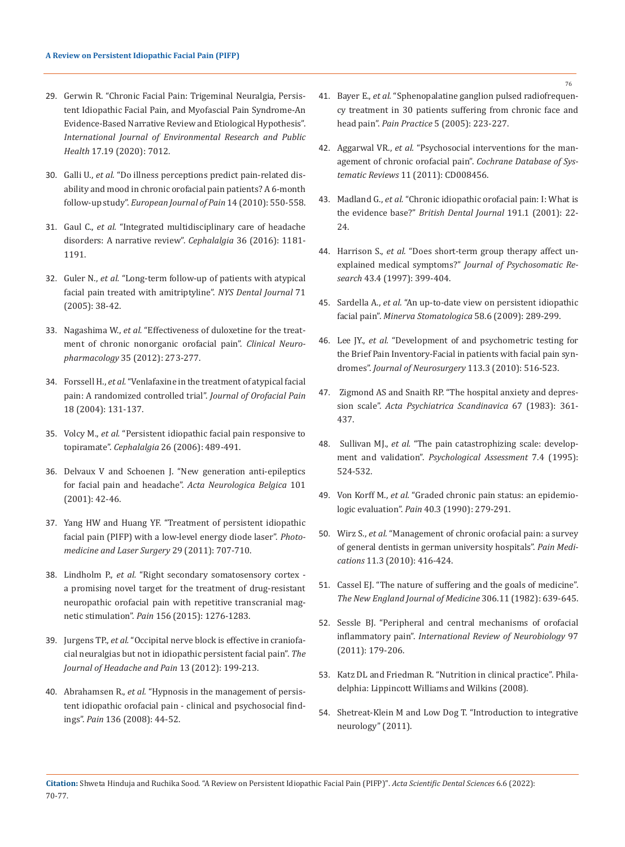- 29. [Gerwin R. "Chronic Facial Pain: Trigeminal Neuralgia, Persis](https://pubmed.ncbi.nlm.nih.gov/32992770/)[tent Idiopathic Facial Pain, and Myofascial Pain Syndrome-An](https://pubmed.ncbi.nlm.nih.gov/32992770/)  [Evidence-Based Narrative Review and Etiological Hypothesis".](https://pubmed.ncbi.nlm.nih.gov/32992770/)  *[International Journal of Environmental Research and Public](https://pubmed.ncbi.nlm.nih.gov/32992770/)  Health* [17.19 \(2020\): 7012.](https://pubmed.ncbi.nlm.nih.gov/32992770/)
- 30. Galli U., *et al.* ["Do illness perceptions predict pain-related dis](https://pubmed.ncbi.nlm.nih.gov/19875320/)[ability and mood in chronic orofacial pain patients? A 6-month](https://pubmed.ncbi.nlm.nih.gov/19875320/)  follow-up study". *[European Journal of Pain](https://pubmed.ncbi.nlm.nih.gov/19875320/)* 14 (2010): 550-558.
- 31. Gaul C., *et al.* ["Integrated multidisciplinary care of headache](https://pubmed.ncbi.nlm.nih.gov/26646785/)  [disorders: A narrative review".](https://pubmed.ncbi.nlm.nih.gov/26646785/) *Cephalalgia* 36 (2016): 1181- [1191.](https://pubmed.ncbi.nlm.nih.gov/26646785/)
- 32. Guler N., *et al.* ["Long-term follow-up of patients with atypical](https://pubmed.ncbi.nlm.nih.gov/16146306/)  [facial pain treated with amitriptyline".](https://pubmed.ncbi.nlm.nih.gov/16146306/) *NYS Dental Journal* 71 [\(2005\): 38-42.](https://pubmed.ncbi.nlm.nih.gov/16146306/)
- 33. Nagashima W., *et al.* ["Effectiveness of duloxetine for the treat](https://pubmed.ncbi.nlm.nih.gov/23123692/)[ment of chronic nonorganic orofacial pain".](https://pubmed.ncbi.nlm.nih.gov/23123692/) *Clinical Neuropharmacology* [35 \(2012\): 273-277.](https://pubmed.ncbi.nlm.nih.gov/23123692/)
- 34. Forssell H., *et al.* ["Venlafaxine in the treatment of atypical facial](https://pubmed.ncbi.nlm.nih.gov/15250433/)  [pain: A randomized controlled trial".](https://pubmed.ncbi.nlm.nih.gov/15250433/) *Journal of Orofacial Pain*  [18 \(2004\): 131-137.](https://pubmed.ncbi.nlm.nih.gov/15250433/)
- 35. Volcy M., *et al.* ["Persistent idiopathic facial pain responsive to](https://pubmed.ncbi.nlm.nih.gov/16556253/)  topiramate". *Cephalalgia* [26 \(2006\): 489-491.](https://pubmed.ncbi.nlm.nih.gov/16556253/)
- 36. [Delvaux V and Schoenen J. "New generation anti-epileptics](https://pubmed.ncbi.nlm.nih.gov/11379275/)  [for facial pain and headache".](https://pubmed.ncbi.nlm.nih.gov/11379275/) *Acta Neurologica Belgica* 101 [\(2001\): 42-46.](https://pubmed.ncbi.nlm.nih.gov/11379275/)
- 37. [Yang HW and Huang YF. "Treatment of persistent idiopathic](https://pubmed.ncbi.nlm.nih.gov/21905852/)  [facial pain \(PIFP\) with a low-level energy diode laser".](https://pubmed.ncbi.nlm.nih.gov/21905852/) *Photo[medicine and Laser Surgery](https://pubmed.ncbi.nlm.nih.gov/21905852/)* 29 (2011): 707-710.
- 38. Lindholm P., *et al.* ["Right secondary somatosensory cortex](https://pubmed.ncbi.nlm.nih.gov/25830924/)  [a promising novel target for the treatment of drug-resistant](https://pubmed.ncbi.nlm.nih.gov/25830924/)  [neuropathic orofacial pain with repetitive transcranial mag](https://pubmed.ncbi.nlm.nih.gov/25830924/)netic stimulation". *Pain* [156 \(2015\): 1276-1283.](https://pubmed.ncbi.nlm.nih.gov/25830924/)
- 39. Jurgens TP., *et al.* ["Occipital nerve block is effective in craniofa](https://pubmed.ncbi.nlm.nih.gov/22383125/)[cial neuralgias but not in idiopathic persistent facial pain".](https://pubmed.ncbi.nlm.nih.gov/22383125/) *The [Journal of Headache and Pain](https://pubmed.ncbi.nlm.nih.gov/22383125/)* 13 (2012): 199-213.
- 40. Abrahamsen R., *et al.* ["Hypnosis in the management of persis](https://pubmed.ncbi.nlm.nih.gov/17689192/)[tent idiopathic orofacial pain - clinical and psychosocial find](https://pubmed.ncbi.nlm.nih.gov/17689192/)ings". *Pain* [136 \(2008\): 44-52.](https://pubmed.ncbi.nlm.nih.gov/17689192/)
- 41. Bayer E., *et al.* ["Sphenopalatine ganglion pulsed radiofrequen](https://pubmed.ncbi.nlm.nih.gov/17147584/)[cy treatment in 30 patients suffering from chronic face and](https://pubmed.ncbi.nlm.nih.gov/17147584/)  head pain". *Pain Practice* [5 \(2005\): 223-227.](https://pubmed.ncbi.nlm.nih.gov/17147584/)
- 42. Aggarwal VR., *et al.* ["Psychosocial interventions for the man](https://pubmed.ncbi.nlm.nih.gov/22071849/)[agement of chronic orofacial pain".](https://pubmed.ncbi.nlm.nih.gov/22071849/) *Cochrane Database of Systematic Reviews* [11 \(2011\): CD008456.](https://pubmed.ncbi.nlm.nih.gov/22071849/)
- 43. Madland G., *et al.* ["Chronic idiopathic orofacial pain: I: What is](https://pubmed.ncbi.nlm.nih.gov/11491472/)  the evidence base?" *[British Dental Journal](https://pubmed.ncbi.nlm.nih.gov/11491472/)* 191.1 (2001): 22- [24.](https://pubmed.ncbi.nlm.nih.gov/11491472/)
- 44. Harrison S., *et al.* ["Does short-term group therapy affect un](https://pubmed.ncbi.nlm.nih.gov/9330239/)explained medical symptoms?" *[Journal of Psychosomatic Re](https://pubmed.ncbi.nlm.nih.gov/9330239/)search* [43.4 \(1997\): 399-404.](https://pubmed.ncbi.nlm.nih.gov/9330239/)
- 45. Sardella A., *et al.* ["An up-to-date view on persistent idiopathic](https://pubmed.ncbi.nlm.nih.gov/19516237/)  facial pain". *[Minerva Stomatologica](https://pubmed.ncbi.nlm.nih.gov/19516237/)* 58.6 (2009): 289-299.
- 46. Lee JY., *et al.* ["Development of and psychometric testing for](https://pubmed.ncbi.nlm.nih.gov/20151778/)  [the Brief Pain Inventory-Facial in patients with facial pain syn](https://pubmed.ncbi.nlm.nih.gov/20151778/)dromes". *[Journal of Neurosurgery](https://pubmed.ncbi.nlm.nih.gov/20151778/)* 113.3 (2010): 516-523.
- 47. [Zigmond AS and Snaith RP. "The hospital anxiety and depres](https://pubmed.ncbi.nlm.nih.gov/6880820/)sion scale". *[Acta Psychiatrica Scandinavica](https://pubmed.ncbi.nlm.nih.gov/6880820/)* 67 (1983): 361- [437.](https://pubmed.ncbi.nlm.nih.gov/6880820/)
- 48. Sullivan MJ., *et al.* ["The pain catastrophizing scale: develop](https://psycnet.apa.org/record/1996-10094-001)ment and validation". *[Psychological Assessment](https://psycnet.apa.org/record/1996-10094-001)* 7.4 (1995): [524-532.](https://psycnet.apa.org/record/1996-10094-001)
- 49. Von Korff M., *et al.* ["Graded chronic pain status: an epidemio](https://pubmed.ncbi.nlm.nih.gov/2326094/)logic evaluation". *Pain* [40.3 \(1990\): 279-291.](https://pubmed.ncbi.nlm.nih.gov/2326094/)
- 50. Wirz S., *et al.* ["Management of chronic orofacial pain: a survey](https://pubmed.ncbi.nlm.nih.gov/20447309/)  [of general dentists in german university hospitals".](https://pubmed.ncbi.nlm.nih.gov/20447309/) *Pain Medications* [11.3 \(2010\): 416-424.](https://pubmed.ncbi.nlm.nih.gov/20447309/)
- 51. [Cassel EJ. "The nature of suffering and the goals of medicine".](https://pubmed.ncbi.nlm.nih.gov/7057823/)  *[The New England Journal of Medicine](https://pubmed.ncbi.nlm.nih.gov/7057823/)* 306.11 (1982): 639-645.
- 52. [Sessle BJ. "Peripheral and central mechanisms of orofacial](https://pubmed.ncbi.nlm.nih.gov/21708311/)  inflammatory pain". *[International Review of Neurobiology](https://pubmed.ncbi.nlm.nih.gov/21708311/)* 97 [\(2011\): 179-206.](https://pubmed.ncbi.nlm.nih.gov/21708311/)
- 53. [Katz DL and Friedman R. "Nutrition in clinical practice". Phila](https://aspenjournals.onlinelibrary.wiley.com/journal/19412452)[delphia: Lippincott Williams and Wilkins \(2008\).](https://aspenjournals.onlinelibrary.wiley.com/journal/19412452)
- 54. Shetreat-Klein M and Low Dog T. "Introduction to integrative neurology" (2011).
- **Citation:** Shweta Hinduja and Ruchika Sood*.* "A Review on Persistent Idiopathic Facial Pain (PIFP)". *Acta Scientific Dental Sciences* 6.6 (2022): 70-77.